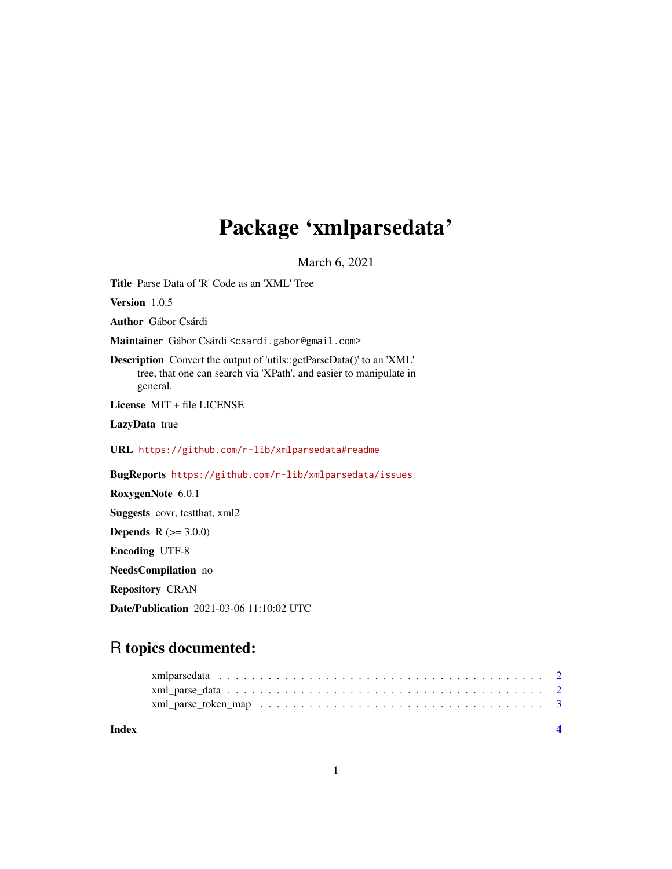## Package 'xmlparsedata'

March 6, 2021

<span id="page-0-0"></span>Title Parse Data of 'R' Code as an 'XML' Tree

Version 1.0.5

Author Gábor Csárdi

Maintainer Gábor Csárdi <csardi.gabor@gmail.com>

Description Convert the output of 'utils::getParseData()' to an 'XML' tree, that one can search via 'XPath', and easier to manipulate in general.

License MIT + file LICENSE

LazyData true

URL <https://github.com/r-lib/xmlparsedata#readme>

BugReports <https://github.com/r-lib/xmlparsedata/issues>

RoxygenNote 6.0.1

Suggests covr, testthat, xml2

**Depends** R  $(>= 3.0.0)$ 

Encoding UTF-8

NeedsCompilation no

Repository CRAN

Date/Publication 2021-03-06 11:10:02 UTC

### R topics documented: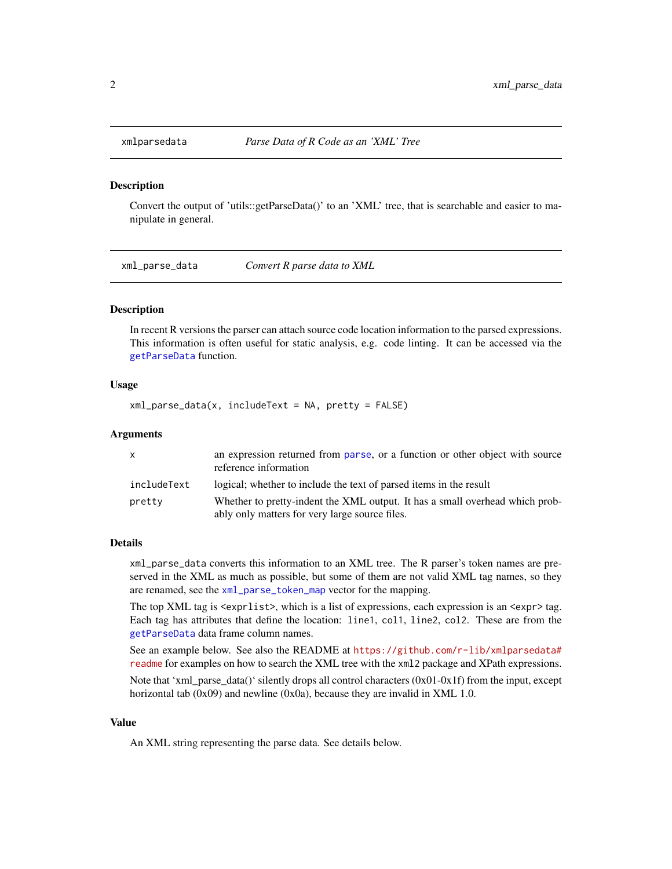<span id="page-1-0"></span>

#### Description

Convert the output of 'utils::getParseData()' to an 'XML' tree, that is searchable and easier to manipulate in general.

<span id="page-1-1"></span>xml\_parse\_data *Convert R parse data to XML*

#### **Description**

In recent R versions the parser can attach source code location information to the parsed expressions. This information is often useful for static analysis, e.g. code linting. It can be accessed via the [getParseData](#page-0-0) function.

#### Usage

 $xml\_parse\_data(x, includeText = NA, pretty = FALSE)$ 

#### Arguments

| $\mathbf{x}$ | an expression returned from parse, or a function or other object with source<br>reference information                          |
|--------------|--------------------------------------------------------------------------------------------------------------------------------|
| includeText  | logical; whether to include the text of parsed items in the result                                                             |
| pretty       | Whether to pretty-indent the XML output. It has a small overhead which prob-<br>ably only matters for very large source files. |

#### Details

xml\_parse\_data converts this information to an XML tree. The R parser's token names are preserved in the XML as much as possible, but some of them are not valid XML tag names, so they are renamed, see the [xml\\_parse\\_token\\_map](#page-2-1) vector for the mapping.

The top XML tag is  $\langle \text{expr} \rangle$ , which is a list of expressions, each expression is an  $\langle \text{expr} \rangle$  tag. Each tag has attributes that define the location: line1, col1, line2, col2. These are from the [getParseData](#page-0-0) data frame column names.

See an example below. See also the README at [https://github.com/r-lib/xmlparsedata#](https://github.com/r-lib/xmlparsedata#readme) [readme](https://github.com/r-lib/xmlparsedata#readme) for examples on how to search the XML tree with the xml2 package and XPath expressions.

Note that 'xml\_parse\_data()' silently drops all control characters  $(0x01-0x1f)$  from the input, except horizontal tab  $(0x09)$  and newline  $(0x0a)$ , because they are invalid in XML 1.0.

#### Value

An XML string representing the parse data. See details below.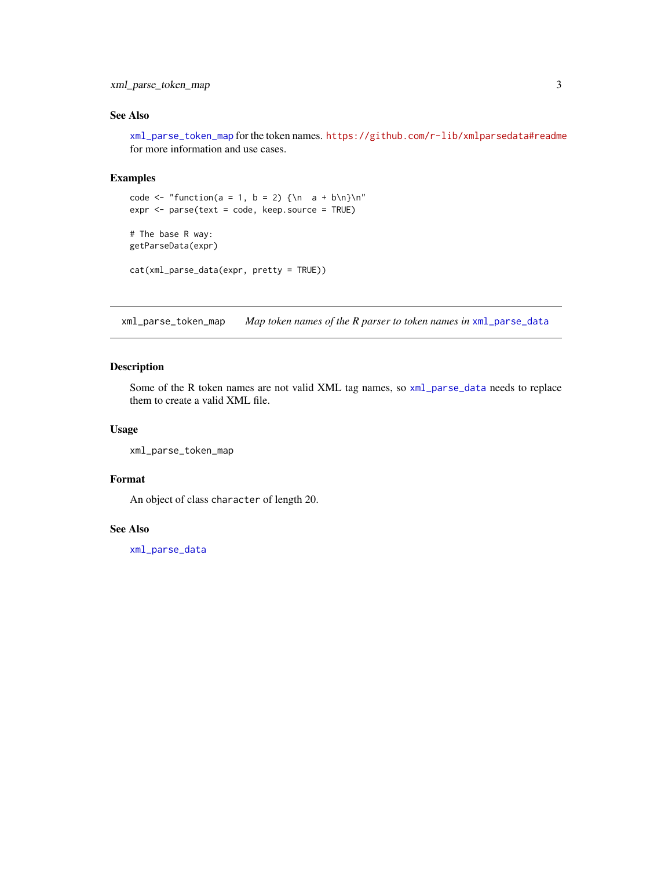#### <span id="page-2-0"></span>xml\_parse\_token\_map 3

#### See Also

[xml\\_parse\\_token\\_map](#page-2-1) for the token names. <https://github.com/r-lib/xmlparsedata#readme> for more information and use cases.

#### Examples

```
code <- "function(a = 1, b = 2) {\n a + b\n}\n"
expr <- parse(text = code, keep.source = TRUE)
# The base R way:
getParseData(expr)
cat(xml_parse_data(expr, pretty = TRUE))
```
<span id="page-2-1"></span>xml\_parse\_token\_map *Map token names of the R parser to token names in* [xml\\_parse\\_data](#page-1-1)

#### Description

Some of the R token names are not valid XML tag names, so [xml\\_parse\\_data](#page-1-1) needs to replace them to create a valid XML file.

#### Usage

```
xml_parse_token_map
```
#### Format

An object of class character of length 20.

#### See Also

[xml\\_parse\\_data](#page-1-1)